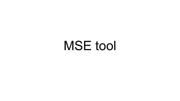# MSE tool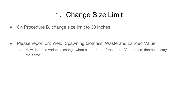## 1. Change Size Limit

• On Procedure B, change size limit to 30 inches

- Please report on: Yield, Spawning biomass, Waste and Landed Value
	- How do these variables change when compared to Procedure A? Increase, decrease, stay the same?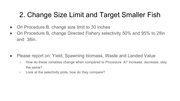#### 2. Change Size Limit and Target Smaller Fish

- On Procedure B, change size limit to 30 inches
- On Procedure B, change Directed Fishery selectivity 50% and 95% to 28 in and 38in.

- Please report on: Yield, Spawning biomass, Waste and Landed Value
	- How do these variables change when compared to Procedure A? Increase, decrease, stay the same?
	- Look at the selectivity plots, how do they compare?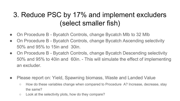## 3. Reduce PSC by 17% and implement excluders (select smaller fish)

- On Procedure B Bycatch Controls, change Bycatch MIb to 32 MIb
- On Procedure B Bycatch Controls, change Bycatch Ascending selectivity 50% and 95% to 15in and 30in.
- On Procedure B Bycatch Controls, change Bycatch Descending selectivity 50% and 95% to 40in and 60in. - This will simulate the effect of implementing an excluder.
- Please report on: Yield, Spawning biomass, Waste and Landed Value
	- How do these variables change when compared to Procedure A? Increase, decrease, stay the same?
	- Look at the selectivity plots, how do they compare?